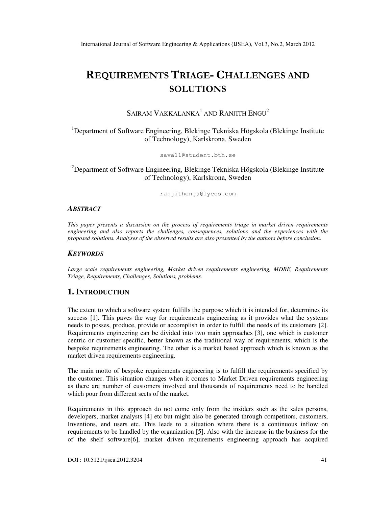# REQUIREMENTS TRIAGE- CHALLENGES AND SOLUTIONS

SAIRAM VAKKALANKA $^{\rm l}$  and Ranjith Engu $^{\rm 2}$ 

<sup>1</sup>Department of Software Engineering, Blekinge Tekniska Högskola (Blekinge Institute of Technology), Karlskrona, Sweden

sava11@student.bth.se

<sup>2</sup>Department of Software Engineering, Blekinge Tekniska Högskola (Blekinge Institute of Technology), Karlskrona, Sweden

ranjithengu@lycos.com

#### *ABSTRACT*

*This paper presents a discussion on the process of requirements triage in market driven requirements engineering and also reports the challenges, consequences, solutions and the experiences with the proposed solutions. Analyses of the observed results are also presented by the authors before conclusion.* 

#### *KEYWORDS*

*Large scale requirements engineering, Market driven requirements engineering, MDRE, Requirements Triage, Requirements, Challenges, Solutions, problems.* 

## **1. INTRODUCTION**

The extent to which a software system fulfills the purpose which it is intended for, determines its success [1]. This paves the way for requirements engineering as it provides what the systems needs to posses, produce, provide or accomplish in order to fulfill the needs of its customers [2]. Requirements engineering can be divided into two main approaches [3], one which is customer centric or customer specific, better known as the traditional way of requirements, which is the bespoke requirements engineering. The other is a market based approach which is known as the market driven requirements engineering.

The main motto of bespoke requirements engineering is to fulfill the requirements specified by the customer. This situation changes when it comes to Market Driven requirements engineering as there are number of customers involved and thousands of requirements need to be handled which pour from different sects of the market.

Requirements in this approach do not come only from the insiders such as the sales persons, developers, market analysts [4] etc but might also be generated through competitors, customers, Inventions, end users etc. This leads to a situation where there is a continuous inflow on requirements to be handled by the organization [5]. Also with the increase in the business for the of the shelf software[6], market driven requirements engineering approach has acquired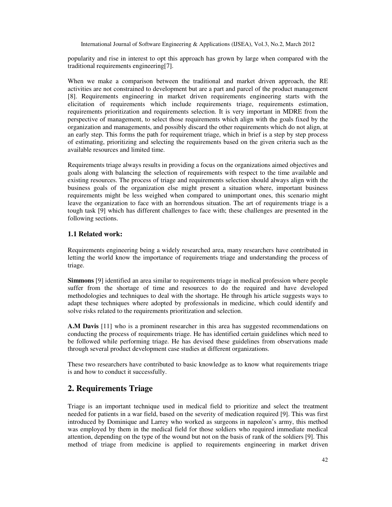popularity and rise in interest to opt this approach has grown by large when compared with the traditional requirements engineering[7].

When we make a comparison between the traditional and market driven approach, the RE activities are not constrained to development but are a part and parcel of the product management [8]. Requirements engineering in market driven requirements engineering starts with the elicitation of requirements which include requirements triage, requirements estimation, requirements prioritization and requirements selection. It is very important in MDRE from the perspective of management, to select those requirements which align with the goals fixed by the organization and managements, and possibly discard the other requirements which do not align, at an early step. This forms the path for requirement triage, which in brief is a step by step process of estimating, prioritizing and selecting the requirements based on the given criteria such as the available resources and limited time.

Requirements triage always results in providing a focus on the organizations aimed objectives and goals along with balancing the selection of requirements with respect to the time available and existing resources. The process of triage and requirements selection should always align with the business goals of the organization else might present a situation where, important business requirements might be less weighed when compared to unimportant ones, this scenario might leave the organization to face with an horrendous situation. The art of requirements triage is a tough task [9] which has different challenges to face with; these challenges are presented in the following sections.

#### **1.1 Related work:**

Requirements engineering being a widely researched area, many researchers have contributed in letting the world know the importance of requirements triage and understanding the process of triage.

**Simmons** [9] identified an area similar to requirements triage in medical profession where people suffer from the shortage of time and resources to do the required and have developed methodologies and techniques to deal with the shortage. He through his article suggests ways to adapt these techniques where adopted by professionals in medicine, which could identify and solve risks related to the requirements prioritization and selection.

**A.M Davis** [11] who is a prominent researcher in this area has suggested recommendations on conducting the process of requirements triage. He has identified certain guidelines which need to be followed while performing triage. He has devised these guidelines from observations made through several product development case studies at different organizations.

These two researchers have contributed to basic knowledge as to know what requirements triage is and how to conduct it successfully.

## **2. Requirements Triage**

Triage is an important technique used in medical field to prioritize and select the treatment needed for patients in a war field, based on the severity of medication required [9]. This was first introduced by Dominique and Larrey who worked as surgeons in napoleon's army, this method was employed by them in the medical field for those soldiers who required immediate medical attention, depending on the type of the wound but not on the basis of rank of the soldiers [9]. This method of triage from medicine is applied to requirements engineering in market driven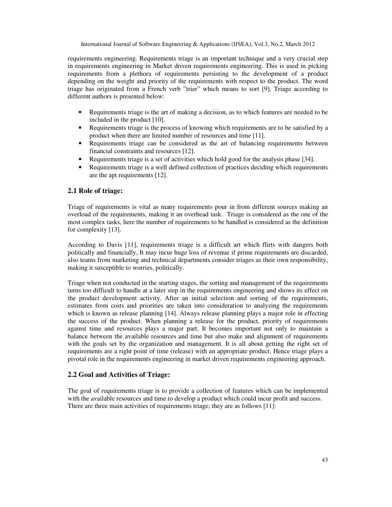requirements engineering. Requirements triage is an important technique and a very crucial step in requirements engineering in Market driven requirements engineering. This is used in picking requirements from a plethora of requirements persisting to the development of a product depending on the weight and priority of the requirements with respect to the product. The word triage has originated from a French verb "trier" which means to sort [9]. Triage according to different authors is presented below:

- Requirements triage is the art of making a decision, as to which features are needed to be included in the product [10].
- Requirements triage is the process of knowing which requirements are to be satisfied by a product when there are limited number of resources and time [11].
- Requirements triage can be considered as the art of balancing requirements between financial constraints and resources [12].
- Requirements triage is a set of activities which hold good for the analysis phase [34].
- Requirements triage is a well defined collection of practices deciding which requirements are the apt requirements [12].

#### **2.1 Role of triage:**

Triage of requirements is vital as many requirements pour in from different sources making an overload of the requirements, making it an overhead task. Triage is considered as the one of the most complex tasks, here the number of requirements to be handled is considered as the definition for complexity [13].

According to Davis [11], requirements triage is a difficult art which flirts with dangers both politically and financially, It may incur huge loss of revenue if prime requirements are discarded, also teams from marketing and technical departments consider triages as their own responsibility, making it susceptible to worries, politically.

Triage when not conducted in the starting stages, the sorting and management of the requirements turns too difficult to handle at a later step in the requirements engineering and shows its effect on the product development activity. After an initial selection and sorting of the requirements, estimates from costs and priorities are taken into consideration to analyzing the requirements which is known as release planning [14]. Always release planning plays a major role in effecting the success of the product. When planning a release for the product, priority of requirements against time and resources plays a major part. It becomes important not only to maintain a balance between the available resources and time but also make and alignment of requirements with the goals set by the organization and management. It is all about getting the right set of requirements are a right point of time (release) with an appropriate product. Hence triage plays a pivotal role in the requirements engineering in market driven requirements engineering approach.

#### **2.2 Goal and Activities of Triage:**

The goal of requirements triage is to provide a collection of features which can be implemented with the available resources and time to develop a product which could incur profit and success. There are three main activities of requirements triage; they are as follows [11]: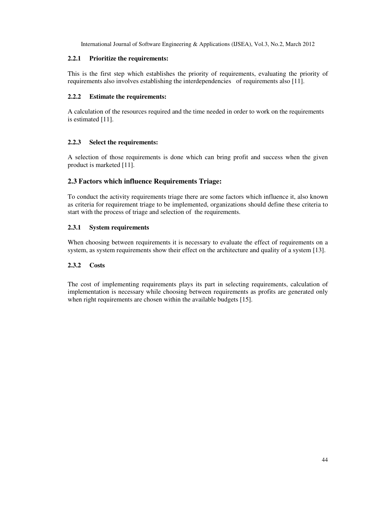## **2.2.1 Prioritize the requirements:**

This is the first step which establishes the priority of requirements, evaluating the priority of requirements also involves establishing the interdependencies of requirements also [11].

## **2.2.2 Estimate the requirements:**

A calculation of the resources required and the time needed in order to work on the requirements is estimated [11].

## **2.2.3 Select the requirements:**

A selection of those requirements is done which can bring profit and success when the given product is marketed [11].

## **2.3 Factors which influence Requirements Triage:**

To conduct the activity requirements triage there are some factors which influence it, also known as criteria for requirement triage to be implemented, organizations should define these criteria to start with the process of triage and selection of the requirements.

## **2.3.1 System requirements**

When choosing between requirements it is necessary to evaluate the effect of requirements on a system, as system requirements show their effect on the architecture and quality of a system [13].

## **2.3.2 Costs**

The cost of implementing requirements plays its part in selecting requirements, calculation of implementation is necessary while choosing between requirements as profits are generated only when right requirements are chosen within the available budgets [15].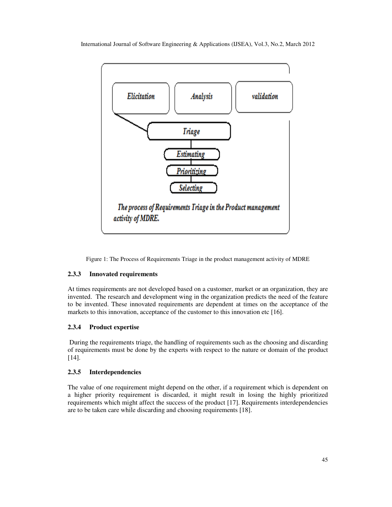

Figure 1: The Process of Requirements Triage in the product management activity of MDRE

#### **2.3.3 Innovated requirements**

At times requirements are not developed based on a customer, market or an organization, they are invented. The research and development wing in the organization predicts the need of the feature to be invented. These innovated requirements are dependent at times on the acceptance of the markets to this innovation, acceptance of the customer to this innovation etc [16].

#### **2.3.4 Product expertise**

 During the requirements triage, the handling of requirements such as the choosing and discarding of requirements must be done by the experts with respect to the nature or domain of the product [14].

#### **2.3.5 Interdependencies**

The value of one requirement might depend on the other, if a requirement which is dependent on a higher priority requirement is discarded, it might result in losing the highly prioritized requirements which might affect the success of the product [17]. Requirements interdependencies are to be taken care while discarding and choosing requirements [18].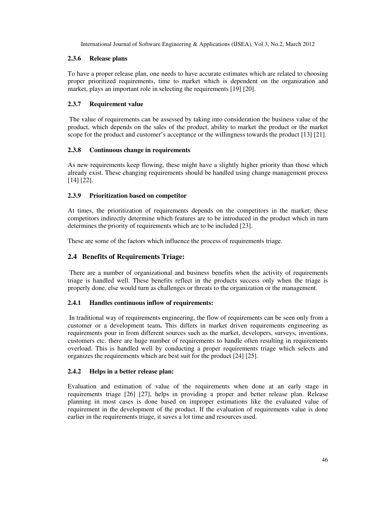## **2.3.6 Release plans**

To have a proper release plan, one needs to have accurate estimates which are related to choosing proper prioritized requirements, time to market which is dependent on the organization and market, plays an important role in selecting the requirements [19] [20].

## **2.3.7 Requirement value**

The value of requirements can be assessed by taking into consideration the business value of the product, which depends on the sales of the product, ability to market the product or the market scope for the product and customer's acceptance or the willingness towards the product [13] [21].

## **2.3.8 Continuous change in requirements**

As new requirements keep flowing, these might have a slightly higher priority than those which already exist. These changing requirements should be handled using change management process [14] [22].

## **2.3.9 Prioritization based on competitor**

At times, the prioritization of requirements depends on the competitors in the market; these competitors indirectly determine which features are to be introduced in the product which in turn determines the priority of requirements which are to be included [23].

These are some of the factors which influence the process of requirements triage.

## **2.4 Benefits of Requirements Triage:**

 There are a number of organizational and business benefits when the activity of requirements triage is handled well. These benefits reflect in the products success only when the triage is properly done, else would turn as challenges or threats to the organization or the management.

## **2.4.1 Handles continuous inflow of requirements:**

In traditional way of requirements engineering, the flow of requirements can be seen only from a customer or a development team**.** This differs in market driven requirements engineering as requirements pour in from different sources such as the market, developers, surveys, inventions, customers etc. there are huge number of requirements to handle often resulting in requirements overload. This is handled well by conducting a proper requirements triage which selects and organizes the requirements which are best suit for the product [24] [25].

## **2.4.2 Helps in a better release plan:**

Evaluation and estimation of value of the requirements when done at an early stage in requirements triage [26] [27], helps in providing a proper and better release plan. Release planning in most cases is done based on improper estimations like the evaluated value of requirement in the development of the product. If the evaluation of requirements value is done earlier in the requirements triage, it saves a lot time and resources used.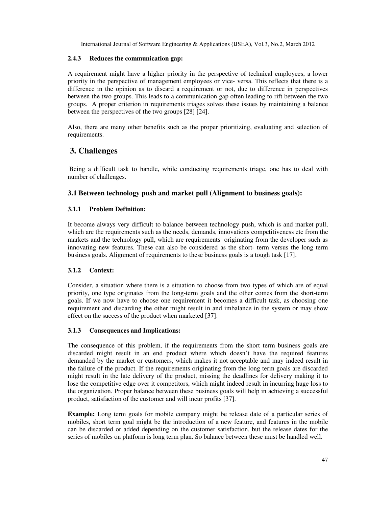## **2.4.3 Reduces the communication gap:**

A requirement might have a higher priority in the perspective of technical employees, a lower priority in the perspective of management employees or vice- versa. This reflects that there is a difference in the opinion as to discard a requirement or not, due to difference in perspectives between the two groups. This leads to a communication gap often leading to rift between the two groups. A proper criterion in requirements triages solves these issues by maintaining a balance between the perspectives of the two groups [28] [24].

Also, there are many other benefits such as the proper prioritizing, evaluating and selection of requirements.

# **3. Challenges**

Being a difficult task to handle, while conducting requirements triage, one has to deal with number of challenges.

## **3.1 Between technology push and market pull (Alignment to business goals):**

## **3.1.1 Problem Definition:**

It become always very difficult to balance between technology push, which is and market pull, which are the requirements such as the needs, demands, innovations competitiveness etc from the markets and the technology pull, which are requirements originating from the developer such as innovating new features. These can also be considered as the short- term versus the long term business goals. Alignment of requirements to these business goals is a tough task [17].

#### **3.1.2 Context:**

Consider, a situation where there is a situation to choose from two types of which are of equal priority, one type originates from the long-term goals and the other comes from the short-term goals. If we now have to choose one requirement it becomes a difficult task, as choosing one requirement and discarding the other might result in and imbalance in the system or may show effect on the success of the product when marketed [37].

#### **3.1.3 Consequences and Implications:**

The consequence of this problem, if the requirements from the short term business goals are discarded might result in an end product where which doesn't have the required features demanded by the market or customers, which makes it not acceptable and may indeed result in the failure of the product. If the requirements originating from the long term goals are discarded might result in the late delivery of the product, missing the deadlines for delivery making it to lose the competitive edge over it competitors, which might indeed result in incurring huge loss to the organization. Proper balance between these business goals will help in achieving a successful product, satisfaction of the customer and will incur profits [37].

**Example:** Long term goals for mobile company might be release date of a particular series of mobiles, short term goal might be the introduction of a new feature, and features in the mobile can be discarded or added depending on the customer satisfaction, but the release dates for the series of mobiles on platform is long term plan. So balance between these must be handled well.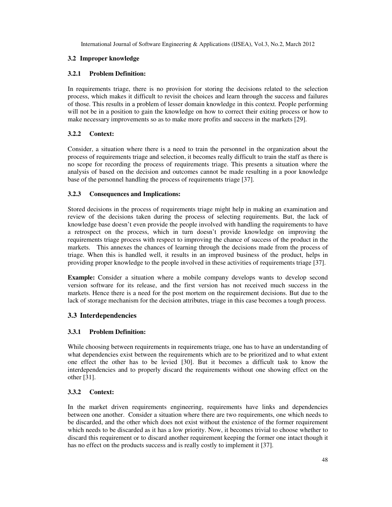## **3.2 Improper knowledge**

## **3.2.1 Problem Definition:**

In requirements triage, there is no provision for storing the decisions related to the selection process, which makes it difficult to revisit the choices and learn through the success and failures of those. This results in a problem of lesser domain knowledge in this context. People performing will not be in a position to gain the knowledge on how to correct their exiting process or how to make necessary improvements so as to make more profits and success in the markets [29].

## **3.2.2 Context:**

Consider, a situation where there is a need to train the personnel in the organization about the process of requirements triage and selection, it becomes really difficult to train the staff as there is no scope for recording the process of requirements triage. This presents a situation where the analysis of based on the decision and outcomes cannot be made resulting in a poor knowledge base of the personnel handling the process of requirements triage [37].

## **3.2.3 Consequences and Implications:**

Stored decisions in the process of requirements triage might help in making an examination and review of the decisions taken during the process of selecting requirements. But, the lack of knowledge base doesn't even provide the people involved with handling the requirements to have a retrospect on the process, which in turn doesn't provide knowledge on improving the requirements triage process with respect to improving the chance of success of the product in the markets. This annexes the chances of learning through the decisions made from the process of triage. When this is handled well, it results in an improved business of the product, helps in providing proper knowledge to the people involved in these activities of requirements triage [37].

**Example:** Consider a situation where a mobile company develops wants to develop second version software for its release, and the first version has not received much success in the markets. Hence there is a need for the post mortem on the requirement decisions. But due to the lack of storage mechanism for the decision attributes, triage in this case becomes a tough process.

## **3.3 Interdependencies**

## **3.3.1 Problem Definition:**

While choosing between requirements in requirements triage, one has to have an understanding of what dependencies exist between the requirements which are to be prioritized and to what extent one effect the other has to be levied [30]. But it becomes a difficult task to know the interdependencies and to properly discard the requirements without one showing effect on the other [31].

#### **3.3.2 Context:**

In the market driven requirements engineering, requirements have links and dependencies between one another. Consider a situation where there are two requirements, one which needs to be discarded, and the other which does not exist without the existence of the former requirement which needs to be discarded as it has a low priority. Now, it becomes trivial to choose whether to discard this requirement or to discard another requirement keeping the former one intact though it has no effect on the products success and is really costly to implement it [37].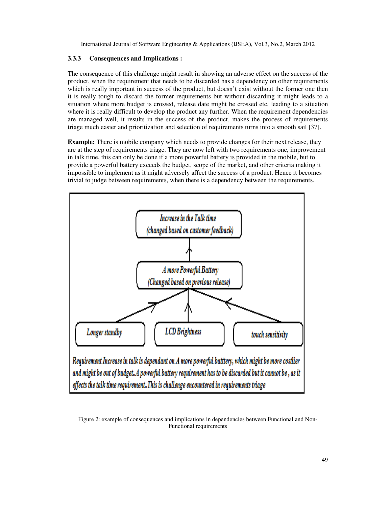#### **3.3.3 Consequences and Implications :**

The consequence of this challenge might result in showing an adverse effect on the success of the product, when the requirement that needs to be discarded has a dependency on other requirements which is really important in success of the product, but doesn't exist without the former one then it is really tough to discard the former requirements but without discarding it might leads to a situation where more budget is crossed, release date might be crossed etc, leading to a situation where it is really difficult to develop the product any further. When the requirement dependencies are managed well, it results in the success of the product, makes the process of requirements triage much easier and prioritization and selection of requirements turns into a smooth sail [37].

**Example:** There is mobile company which needs to provide changes for their next release, they are at the step of requirements triage. They are now left with two requirements one, improvement in talk time, this can only be done if a more powerful battery is provided in the mobile, but to provide a powerful battery exceeds the budget, scope of the market, and other criteria making it impossible to implement as it might adversely affect the success of a product. Hence it becomes trivial to judge between requirements, when there is a dependency between the requirements.



Figure 2: example of consequences and implications in dependencies between Functional and Non-Functional requirements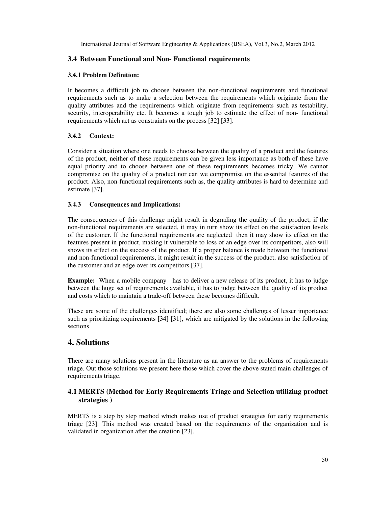#### **3.4 Between Functional and Non- Functional requirements**

#### **3.4.1 Problem Definition:**

It becomes a difficult job to choose between the non-functional requirements and functional requirements such as to make a selection between the requirements which originate from the quality attributes and the requirements which originate from requirements such as testability, security, interoperability etc. It becomes a tough job to estimate the effect of non- functional requirements which act as constraints on the process [32] [33].

#### **3.4.2 Context:**

Consider a situation where one needs to choose between the quality of a product and the features of the product, neither of these requirements can be given less importance as both of these have equal priority and to choose between one of these requirements becomes tricky. We cannot compromise on the quality of a product nor can we compromise on the essential features of the product. Also, non-functional requirements such as, the quality attributes is hard to determine and estimate [37].

#### **3.4.3 Consequences and Implications:**

The consequences of this challenge might result in degrading the quality of the product, if the non-functional requirements are selected, it may in turn show its effect on the satisfaction levels of the customer. If the functional requirements are neglected then it may show its effect on the features present in product, making it vulnerable to loss of an edge over its competitors, also will shows its effect on the success of the product. If a proper balance is made between the functional and non-functional requirements, it might result in the success of the product, also satisfaction of the customer and an edge over its competitors [37].

**Example:** When a mobile company has to deliver a new release of its product, it has to judge between the huge set of requirements available, it has to judge between the quality of its product and costs which to maintain a trade-off between these becomes difficult.

These are some of the challenges identified; there are also some challenges of lesser importance such as prioritizing requirements [34] [31], which are mitigated by the solutions in the following sections

## **4. Solutions**

There are many solutions present in the literature as an answer to the problems of requirements triage. Out those solutions we present here those which cover the above stated main challenges of requirements triage.

## **4.1 MERTS (Method for Early Requirements Triage and Selection utilizing product strategies )**

MERTS is a step by step method which makes use of product strategies for early requirements triage [23]. This method was created based on the requirements of the organization and is validated in organization after the creation [23].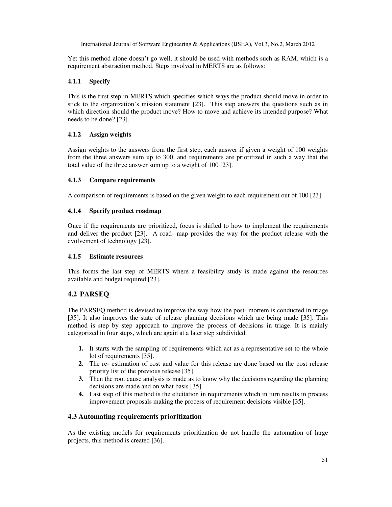Yet this method alone doesn't go well, it should be used with methods such as RAM, which is a requirement abstraction method. Steps involved in MERTS are as follows:

## **4.1.1 Specify**

This is the first step in MERTS which specifies which ways the product should move in order to stick to the organization's mission statement [23]. This step answers the questions such as in which direction should the product move? How to move and achieve its intended purpose? What needs to be done? [23].

## **4.1.2 Assign weights**

Assign weights to the answers from the first step, each answer if given a weight of 100 weights from the three answers sum up to 300, and requirements are prioritized in such a way that the total value of the three answer sum up to a weight of 100 [23].

#### **4.1.3 Compare requirements**

A comparison of requirements is based on the given weight to each requirement out of 100 [23].

## **4.1.4 Specify product roadmap**

Once if the requirements are prioritized, focus is shifted to how to implement the requirements and deliver the product [23]. A road- map provides the way for the product release with the evolvement of technology [23].

#### **4.1.5 Estimate resources**

This forms the last step of MERTS where a feasibility study is made against the resources available and budget required [23].

## **4.2 PARSEQ**

The PARSEQ method is devised to improve the way how the post- mortem is conducted in triage [35]. It also improves the state of release planning decisions which are being made [35]. This method is step by step approach to improve the process of decisions in triage. It is mainly categorized in four steps, which are again at a later step subdivided.

- **1.** It starts with the sampling of requirements which act as a representative set to the whole lot of requirements [35].
- **2.** The re- estimation of cost and value for this release are done based on the post release priority list of the previous release [35].
- **3.** Then the root cause analysis is made as to know why the decisions regarding the planning decisions are made and on what basis [35].
- **4.** Last step of this method is the elicitation in requirements which in turn results in process improvement proposals making the process of requirement decisions visible [35].

#### **4.3 Automating requirements prioritization**

As the existing models for requirements prioritization do not handle the automation of large projects, this method is created [36].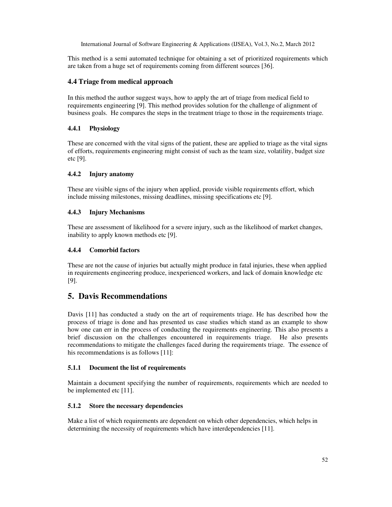This method is a semi automated technique for obtaining a set of prioritized requirements which are taken from a huge set of requirements coming from different sources [36].

## **4.4 Triage from medical approach**

In this method the author suggest ways, how to apply the art of triage from medical field to requirements engineering [9]. This method provides solution for the challenge of alignment of business goals. He compares the steps in the treatment triage to those in the requirements triage.

## **4.4.1 Physiology**

These are concerned with the vital signs of the patient, these are applied to triage as the vital signs of efforts, requirements engineering might consist of such as the team size, volatility, budget size etc [9].

## **4.4.2 Injury anatomy**

These are visible signs of the injury when applied, provide visible requirements effort, which include missing milestones, missing deadlines, missing specifications etc [9].

## **4.4.3 Injury Mechanisms**

These are assessment of likelihood for a severe injury, such as the likelihood of market changes, inability to apply known methods etc [9].

## **4.4.4 Comorbid factors**

These are not the cause of injuries but actually might produce in fatal injuries, these when applied in requirements engineering produce, inexperienced workers, and lack of domain knowledge etc [9].

# **5. Davis Recommendations**

Davis [11] has conducted a study on the art of requirements triage. He has described how the process of triage is done and has presented us case studies which stand as an example to show how one can err in the process of conducting the requirements engineering. This also presents a brief discussion on the challenges encountered in requirements triage. He also presents recommendations to mitigate the challenges faced during the requirements triage. The essence of his recommendations is as follows [11]:

#### **5.1.1 Document the list of requirements**

Maintain a document specifying the number of requirements, requirements which are needed to be implemented etc [11].

#### **5.1.2 Store the necessary dependencies**

Make a list of which requirements are dependent on which other dependencies, which helps in determining the necessity of requirements which have interdependencies [11].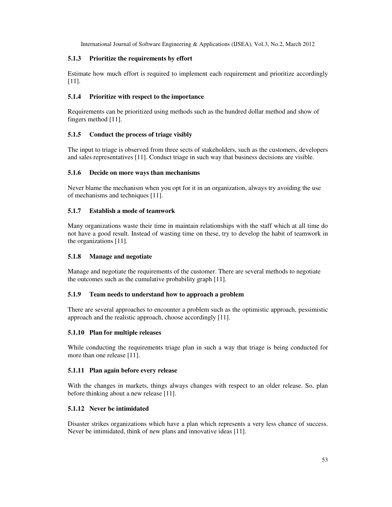## **5.1.3 Prioritize the requirements by effort**

Estimate how much effort is required to implement each requirement and prioritize accordingly [11].

## **5.1.4 Prioritize with respect to the importance**

Requirements can be prioritized using methods such as the hundred dollar method and show of fingers method [11].

## **5.1.5 Conduct the process of triage visibly**

The input to triage is observed from three sects of stakeholders, such as the customers, developers and sales representatives [11]. Conduct triage in such way that business decisions are visible.

## **5.1.6 Decide on more ways than mechanisms**

Never blame the mechanism when you opt for it in an organization, always try avoiding the use of mechanisms and techniques [11].

## **5.1.7 Establish a mode of teamwork**

Many organizations waste their time in maintain relationships with the staff which at all time do not have a good result. Instead of wasting time on these, try to develop the habit of teamwork in the organizations [11].

#### **5.1.8 Manage and negotiate**

Manage and negotiate the requirements of the customer. There are several methods to negotiate the outcomes such as the cumulative probability graph [11].

#### **5.1.9 Team needs to understand how to approach a problem**

There are several approaches to encounter a problem such as the optimistic approach, pessimistic approach and the realistic approach, choose accordingly [11].

## **5.1.10 Plan for multiple releases**

While conducting the requirements triage plan in such a way that triage is being conducted for more than one release [11].

#### **5.1.11 Plan again before every release**

With the changes in markets, things always changes with respect to an older release. So, plan before thinking about a new release [11].

## **5.1.12 Never be intimidated**

Disaster strikes organizations which have a plan which represents a very less chance of success. Never be intimidated, think of new plans and innovative ideas [11].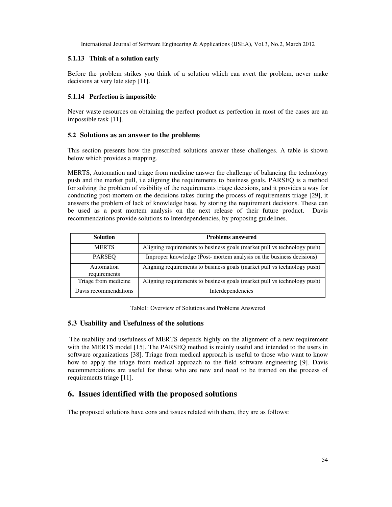#### **5.1.13 Think of a solution early**

Before the problem strikes you think of a solution which can avert the problem, never make decisions at very late step [11].

## **5.1.14 Perfection is impossible**

Never waste resources on obtaining the perfect product as perfection in most of the cases are an impossible task [11].

## **5.2 Solutions as an answer to the problems**

This section presents how the prescribed solutions answer these challenges. A table is shown below which provides a mapping.

MERTS, Automation and triage from medicine answer the challenge of balancing the technology push and the market pull, i.e aligning the requirements to business goals. PARSEQ is a method for solving the problem of visibility of the requirements triage decisions, and it provides a way for conducting post-mortem on the decisions takes during the process of requirements triage [29], it answers the problem of lack of knowledge base, by storing the requirement decisions. These can be used as a post mortem analysis on the next release of their future product. Davis recommendations provide solutions to Interdependencies, by proposing guidelines.

| <b>Solution</b>            | <b>Problems answered</b>                                                 |
|----------------------------|--------------------------------------------------------------------------|
| <b>MERTS</b>               | Aligning requirements to business goals (market pull vs technology push) |
| <b>PARSEO</b>              | Improper knowledge (Post- mortem analysis on the business decisions)     |
| Automation<br>requirements | Aligning requirements to business goals (market pull vs technology push) |
| Triage from medicine       | Aligning requirements to business goals (market pull vs technology push) |
| Davis recommendations      | Interdependencies                                                        |

Table1: Overview of Solutions and Problems Answered

#### **5.3 Usability and Usefulness of the solutions**

 The usability and usefulness of MERTS depends highly on the alignment of a new requirement with the MERTS model [15]. The PARSEQ method is mainly useful and intended to the users in software organizations [38]. Triage from medical approach is useful to those who want to know how to apply the triage from medical approach to the field software engineering [9]. Davis recommendations are useful for those who are new and need to be trained on the process of requirements triage [11].

# **6. Issues identified with the proposed solutions**

The proposed solutions have cons and issues related with them, they are as follows: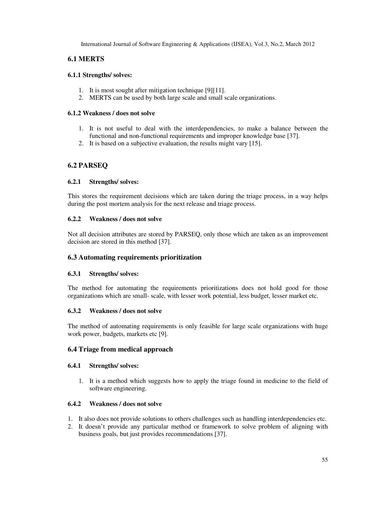## **6.1 MERTS**

#### **6.1.1 Strengths/ solves:**

- 1. It is most sought after mitigation technique [9][11].
- 2. MERTS can be used by both large scale and small scale organizations.

#### **6.1.2 Weakness / does not solve**

- 1. It is not useful to deal with the interdependencies, to make a balance between the functional and non-functional requirements and improper knowledge base [37].
- 2. It is based on a subjective evaluation, the results might vary [15].

# **6.2 PARSEQ**

## **6.2.1 Strengths/ solves:**

This stores the requirement decisions which are taken during the triage process, in a way helps during the post mortem analysis for the next release and triage process.

## **6.2.2 Weakness / does not solve**

Not all decision attributes are stored by PARSEQ, only those which are taken as an improvement decision are stored in this method [37].

## **6.3 Automating requirements prioritization**

#### **6.3.1 Strengths/ solves:**

The method for automating the requirements prioritizations does not hold good for those organizations which are small- scale, with lesser work potential, less budget, lesser market etc.

#### **6.3.2 Weakness / does not solve**

The method of automating requirements is only feasible for large scale organizations with huge work power, budgets, markets etc [9].

#### **6.4 Triage from medical approach**

#### **6.4.1 Strengths/ solves:**

1. It is a method which suggests how to apply the triage found in medicine to the field of software engineering.

#### **6.4.2 Weakness / does not solve**

- 1. It also does not provide solutions to others challenges such as handling interdependencies etc.
- 2. It doesn't provide any particular method or framework to solve problem of aligning with business goals, but just provides recommendations [37].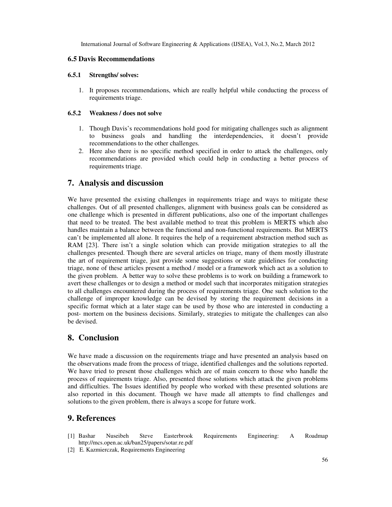#### **6.5 Davis Recommendations**

#### **6.5.1 Strengths/ solves:**

1. It proposes recommendations, which are really helpful while conducting the process of requirements triage.

#### **6.5.2 Weakness / does not solve**

- 1. Though Davis's recommendations hold good for mitigating challenges such as alignment to business goals and handling the interdependencies, it doesn't provide recommendations to the other challenges.
- 2. Here also there is no specific method specified in order to attack the challenges, only recommendations are provided which could help in conducting a better process of requirements triage.

## **7. Analysis and discussion**

We have presented the existing challenges in requirements triage and ways to mitigate these challenges. Out of all presented challenges, alignment with business goals can be considered as one challenge which is presented in different publications, also one of the important challenges that need to be treated. The best available method to treat this problem is MERTS which also handles maintain a balance between the functional and non-functional requirements. But MERTS can't be implemented all alone. It requires the help of a requirement abstraction method such as RAM [23]. There isn't a single solution which can provide mitigation strategies to all the challenges presented. Though there are several articles on triage, many of them mostly illustrate the art of requirement triage, just provide some suggestions or state guidelines for conducting triage, none of these articles present a method / model or a framework which act as a solution to the given problem. A better way to solve these problems is to work on building a framework to avert these challenges or to design a method or model such that incorporates mitigation strategies to all challenges encountered during the process of requirements triage. One such solution to the challenge of improper knowledge can be devised by storing the requirement decisions in a specific format which at a later stage can be used by those who are interested in conducting a post- mortem on the business decisions. Similarly, strategies to mitigate the challenges can also be devised.

## **8. Conclusion**

We have made a discussion on the requirements triage and have presented an analysis based on the observations made from the process of triage, identified challenges and the solutions reported. We have tried to present those challenges which are of main concern to those who handle the process of requirements triage. Also, presented those solutions which attack the given problems and difficulties. The Issues identified by people who worked with these presented solutions are also reported in this document. Though we have made all attempts to find challenges and solutions to the given problem, there is always a scope for future work.

## **9. References**

- [1] Bashar Nuseibeh Steve Easterbrook Requirements Engineering: A Roadmap http://mcs.open.ac.uk/ban25/papers/sotar.re.pdf
- [2] E. Kazmierczak, Requirements Engineering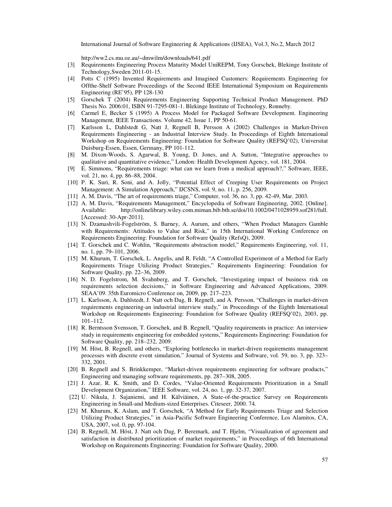http://ww2.cs.mu.oz.au/~dmwilm/downloads/641.pdf

- [3] Requirements Engineering Process Maturity Model UniREPM, Tony Gorschek, Blekinge Institute of Technology,Sweden 2011-01-15.
- [4] Potts C (1995) Invented Requirements and Imagined Customers: Requirements Engineering for Offthe-Shelf Software Proceedings of the Second IEEE International Symposium on Requirements Engineering (RE'95), PP 128-130
- [5] Gorschek T (2004) Requirements Engineering Supporting Technical Product Management. PhD Thesis No. 2006:01, ISBN 91-7295-081-1. Blekinge Institute of Technology, Ronneby.
- [6] Carmel E, Becker S (1995) A Process Model for Packaged Software Development. Engineering Management, IEEE Transactions. Volume 42, Issue 1, PP 50-61.
- [7] Karlsson L, Dahlstedt G, Natt J, Regnell B, Persson A (2002) Challenges in Market-Driven Requirements Engineering - an Industrial Interview Study. In Proceedings of Eighth International Workshop on Requirements Engineering: Foundation for Software Quality (REFSQ'02), Universitat Duisburg-Essen, Essen, Germany, PP 101-112.
- [8] M. Dixon-Woods, S. Agarwal, B. Young, D. Jones, and A. Sutton, "Integrative approaches to qualitative and quantitative evidence," London: Health Development Agency, vol. 181, 2004.
- [9] E. Simmons, "Requirements triage: what can we learn from a medical approach?," Software, IEEE, vol. 21, no. 4, pp. 86–88, 2004.
- [10] P. K. Suri, R. Soni, and A. Jolly, "Potential Effect of Creeping User Requirements on Project Management: A Simulation Approach," IJCSNS, vol. 9, no. 11, p. 256, 2009.
- [11] A. M. Davis, "The art of requirements triage," Computer, vol. 36, no. 3, pp. 42-49, Mar. 2003.
- [12] A. M. Davis, "Requirements Management," Encyclopedia of Software Engineering, 2002. [Online]. Available: http://onlinelibrary.wiley.com.miman.bib.bth.se/doi/10.1002/0471028959.sof281/full. [Accessed: 30-Apr-2011].
- [13] N. Dzamashvili-Fogelström, S. Barney, A. Aurum, and others, "When Product Managers Gamble with Requirements: Attitudes to Value and Risk," in 15th International Working Conference on Requirements Engineering: Foundation for Software Quality (RefsQ), 2009.
- [14] T. Gorschek and C. Wohlin, "Requirements abstraction model," Requirements Engineering, vol. 11, no. 1, pp. 79–101, 2006.
- [15] M. Khurum, T. Gorschek, L. Angelis, and R. Feldt, "A Controlled Experiment of a Method for Early Requirements Triage Utilizing Product Strategies," Requirements Engineering: Foundation for Software Quality, pp. 22–36, 2009.
- [16] N. D. Fogelstrom, M. Svahnberg, and T. Gorschek, "Investigating impact of business risk on requirements selection decisions," in Software Engineering and Advanced Applications, 2009. SEAA'09. 35th Euromicro Conference on, 2009, pp. 217–223.
- [17] L. Karlsson, A. Dahlstedt, J. Natt och Dag, B. Regnell, and A. Persson, "Challenges in market-driven requirements engineering-an industrial interview study," in Proceedings of the Eighth International Workshop on Requirements Engineering: Foundation for Software Quality (REFSQ'02), 2003, pp. 101–112.
- [18] R. Berntsson Svensson, T. Gorschek, and B. Regnell, "Quality requirements in practice: An interview study in requirements engineering for embedded systems," Requirements Engineering: Foundation for Software Quality, pp. 218–232, 2009.
- [19] M. Höst, B. Regnell, and others, "Exploring bottlenecks in market-driven requirements management processes with discrete event simulation," Journal of Systems and Software, vol. 59, no. 3, pp. 323– 332, 2001.
- [20] B. Regnell and S. Brinkkemper, "Market-driven requirements engineering for software products," Engineering and managing software requirements, pp. 287–308, 2005.
- [21] J. Azar, R. K. Smith, and D. Cordes, "Value-Oriented Requirements Prioritization in a Small Development Organization," IEEE Software, vol. 24, no. 1, pp. 32-37, 2007.
- [22] U. Nikula, J. Sajaniemi, and H. Kälviäinen, A State-of-the-practice Survey on Requirements Engineering in Small-and Medium-sized Enterprises. Citeseer, 2000. 74.
- [23] M. Khurum, K. Aslam, and T. Gorschek, "A Method for Early Requirements Triage and Selection Utilizing Product Strategies," in Asia-Pacific Software Engineering Conference, Los Alamitos, CA, USA, 2007, vol. 0, pp. 97-104.
- [24] B. Regnell, M. Höst, J. Natt och Dag, P. Beremark, and T. Hjelm, "Visualization of agreement and satisfaction in distributed prioritization of market requirements," in Proceedings of 6th International Workshop on Requirements Engineering: Foundation for Software Quality, 2000.